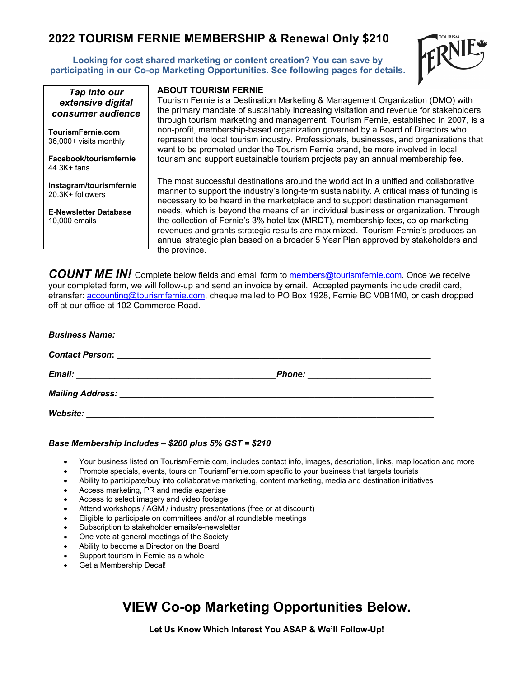## **2022 TOURISM FERNIE MEMBERSHIP & Renewal Only \$210**

**Looking for cost shared marketing or content creation? You can save by participating in our Co-op Marketing Opportunities. See following pages for details.**





44.3K+ fans

20.3K+ followers

10,000 emails

**Instagram/tourismfernie**

**E-Newsletter Database**

**ABOUT TOURISM FERNIE**

Tourism Fernie is a Destination Marketing & Management Organization (DMO) with the primary mandate of sustainably increasing visitation and revenue for stakeholders through tourism marketing and management. Tourism Fernie, established in 2007, is a non-profit, membership-based organization governed by a Board of Directors who represent the local tourism industry. Professionals, businesses, and organizations that want to be promoted under the Tourism Fernie brand, be more involved in local tourism and support sustainable tourism projects pay an annual membership fee.

The most successful destinations around the world act in a unified and collaborative manner to support the industry's long-term sustainability. A critical mass of funding is necessary to be heard in the marketplace and to support destination management needs, which is beyond the means of an individual business or organization. Through the collection of Fernie's 3% hotel tax (MRDT), membership fees, co-op marketing revenues and grants strategic results are maximized. Tourism Fernie's produces an annual strategic plan based on a broader 5 Year Plan approved by stakeholders and the province.

COUNT ME IN! Complete below fields and email form to **members@tourismfernie.com**. Once we receive your completed form, we will follow-up and send an invoice by email. Accepted payments include credit card, etransfer: accounting@tourismfernie.com, cheque mailed to PO Box 1928, Fernie BC V0B1M0, or cash dropped off at our office at 102 Commerce Road.

| Website:<br><u> 1989 - Johann Harry Barn, mars ar yn y brenin y brenin y brenin y brenin y brenin y brenin y brenin y brenin</u> |  |
|----------------------------------------------------------------------------------------------------------------------------------|--|

#### *Base Membership Includes – \$200 plus 5% GST = \$210*

- Your business listed on TourismFernie.com, includes contact info, images, description, links, map location and more
- Promote specials, events, tours on TourismFernie.com specific to your business that targets tourists
- Ability to participate/buy into collaborative marketing, content marketing, media and destination initiatives
- Access marketing, PR and media expertise
- Access to select imagery and video footage
- Attend workshops / AGM / industry presentations (free or at discount)
- Eligible to participate on committees and/or at roundtable meetings
- Subscription to stakeholder emails/e-newsletter
- One vote at general meetings of the Society
- Ability to become a Director on the Board
- Support tourism in Fernie as a whole
- Get a Membership Decal!

# **VIEW Co-op Marketing Opportunities Below.**

**Let Us Know Which Interest You ASAP & We'll Follow-Up!**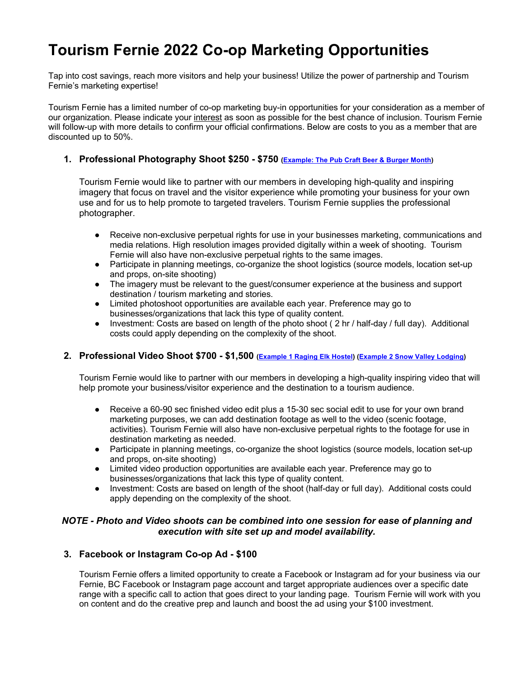# **Tourism Fernie 2022 Co-op Marketing Opportunities**

Tap into cost savings, reach more visitors and help your business! Utilize the power of partnership and Tourism Fernie's marketing expertise!

Tourism Fernie has a limited number of co-op marketing buy-in opportunities for your consideration as a member of our organization. Please indicate your interest as soon as possible for the best chance of inclusion. Tourism Fernie will follow-up with more details to confirm your official confirmations. Below are costs to you as a member that are discounted up to 50%.

#### **1. Professional Photography Shoot \$250 - \$750 (Example: The Pub Craft Beer & Burger Month)**

Tourism Fernie would like to partner with our members in developing high-quality and inspiring imagery that focus on travel and the visitor experience while promoting your business for your own use and for us to help promote to targeted travelers. Tourism Fernie supplies the professional photographer.

- Receive non-exclusive perpetual rights for use in your businesses marketing, communications and media relations. High resolution images provided digitally within a week of shooting. Tourism Fernie will also have non-exclusive perpetual rights to the same images.
- Participate in planning meetings, co-organize the shoot logistics (source models, location set-up and props, on-site shooting)
- The imagery must be relevant to the guest/consumer experience at the business and support destination / tourism marketing and stories.
- Limited photoshoot opportunities are available each year. Preference may go to businesses/organizations that lack this type of quality content.
- Investment: Costs are based on length of the photo shoot ( 2 hr / half-day / full day). Additional costs could apply depending on the complexity of the shoot.

#### **2. Professional Video Shoot \$700 - \$1,500 (Example 1 Raging Elk Hostel) (Example 2 Snow Valley Lodging)**

Tourism Fernie would like to partner with our members in developing a high-quality inspiring video that will help promote your business/visitor experience and the destination to a tourism audience.

- Receive a 60-90 sec finished video edit plus a 15-30 sec social edit to use for your own brand marketing purposes, we can add destination footage as well to the video (scenic footage, activities). Tourism Fernie will also have non-exclusive perpetual rights to the footage for use in destination marketing as needed.
- Participate in planning meetings, co-organize the shoot logistics (source models, location set-up and props, on-site shooting)
- Limited video production opportunities are available each year. Preference may go to businesses/organizations that lack this type of quality content.
- Investment: Costs are based on length of the shoot (half-day or full day). Additional costs could apply depending on the complexity of the shoot.

#### *NOTE - Photo and Video shoots can be combined into one session for ease of planning and execution with site set up and model availability.*

#### **3. Facebook or Instagram Co-op Ad - \$100**

Tourism Fernie offers a limited opportunity to create a Facebook or Instagram ad for your business via our Fernie, BC Facebook or Instagram page account and target appropriate audiences over a specific date range with a specific call to action that goes direct to your landing page. Tourism Fernie will work with you on content and do the creative prep and launch and boost the ad using your \$100 investment.